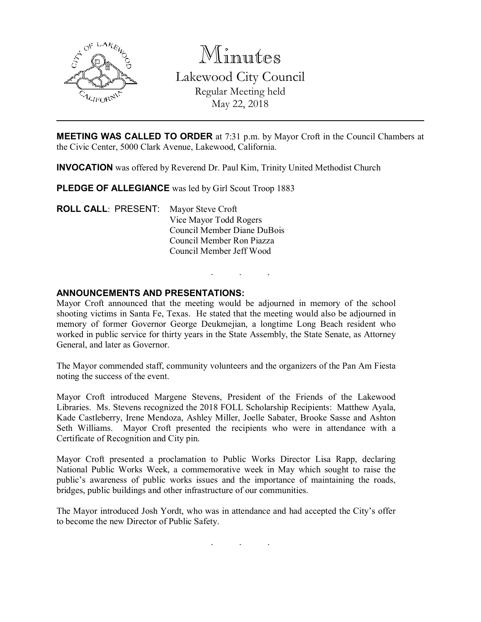

Minutes Lakewood City Council Regular Meeting held May 22, 2018

MEETING WAS CALLED TO ORDER at 7:31 p.m. by Mayor Croft in the Council Chambers at the Civic Center, 5000 Clark Avenue, Lakewood, California.

INVOCATION was offered by Reverend Dr. Paul Kim, Trinity United Methodist Church

PLEDGE OF ALLEGIANCE was led by Girl Scout Troop 1883

ROLL CALL: PRESENT: Mayor Steve Croft Vice Mayor Todd Rogers Council Member Diane DuBois Council Member Ron Piazza Council Member Jeff Wood

## ANNOUNCEMENTS AND PRESENTATIONS:

Mayor Croft announced that the meeting would be adjourned in memory of the school shooting victims in Santa Fe, Texas. He stated that the meeting would also be adjourned in memory of former Governor George Deukmejian, a longtime Long Beach resident who worked in public service for thirty years in the State Assembly, the State Senate, as Attorney General, and later as Governor.

. . .

The Mayor commended staff, community volunteers and the organizers of the Pan Am Fiesta noting the success of the event.

Mayor Croft introduced Margene Stevens, President of the Friends of the Lakewood Libraries. Ms. Stevens recognized the 2018 FOLL Scholarship Recipients: Matthew Ayala, Kade Castleberry, Irene Mendoza, Ashley Miller, Joelle Sabater, Brooke Sasse and Ashton Seth Williams. Mayor Croft presented the recipients who were in attendance with a Certificate of Recognition and City pin.

Mayor Croft presented a proclamation to Public Works Director Lisa Rapp, declaring National Public Works Week, a commemorative week in May which sought to raise the public's awareness of public works issues and the importance of maintaining the roads, bridges, public buildings and other infrastructure of our communities.

The Mayor introduced Josh Yordt, who was in attendance and had accepted the City's offer to become the new Director of Public Safety.

. . .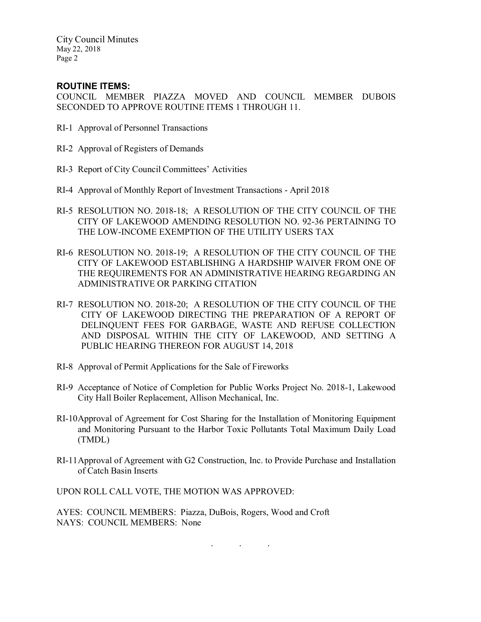# ROUTINE ITEMS:

COUNCIL MEMBER PIAZZA MOVED AND COUNCIL MEMBER DUBOIS SECONDED TO APPROVE ROUTINE ITEMS 1 THROUGH 11.

- RI-1 Approval of Personnel Transactions
- RI-2 Approval of Registers of Demands
- RI-3 Report of City Council Committees' Activities
- RI-4 Approval of Monthly Report of Investment Transactions April 2018
- RI-5 RESOLUTION NO. 2018-18; A RESOLUTION OF THE CITY COUNCIL OF THE CITY OF LAKEWOOD AMENDING RESOLUTION NO. 92-36 PERTAINING TO THE LOW-INCOME EXEMPTION OF THE UTILITY USERS TAX
- RI-6 RESOLUTION NO. 2018-19; A RESOLUTION OF THE CITY COUNCIL OF THE CITY OF LAKEWOOD ESTABLISHING A HARDSHIP WAIVER FROM ONE OF THE REQUIREMENTS FOR AN ADMINISTRATIVE HEARING REGARDING AN ADMINISTRATIVE OR PARKING CITATION
- RI-7 RESOLUTION NO. 2018-20; A RESOLUTION OF THE CITY COUNCIL OF THE CITY OF LAKEWOOD DIRECTING THE PREPARATION OF A REPORT OF DELINQUENT FEES FOR GARBAGE, WASTE AND REFUSE COLLECTION AND DISPOSAL WITHIN THE CITY OF LAKEWOOD, AND SETTING A PUBLIC HEARING THEREON FOR AUGUST 14, 2018
- RI-8 Approval of Permit Applications for the Sale of Fireworks
- RI-9 Acceptance of Notice of Completion for Public Works Project No. 2018-1, Lakewood City Hall Boiler Replacement, Allison Mechanical, Inc.
- RI-10Approval of Agreement for Cost Sharing for the Installation of Monitoring Equipment and Monitoring Pursuant to the Harbor Toxic Pollutants Total Maximum Daily Load (TMDL)
- RI-11Approval of Agreement with G2 Construction, Inc. to Provide Purchase and Installation of Catch Basin Inserts

. . .

UPON ROLL CALL VOTE, THE MOTION WAS APPROVED:

AYES: COUNCIL MEMBERS: Piazza, DuBois, Rogers, Wood and Croft NAYS: COUNCIL MEMBERS: None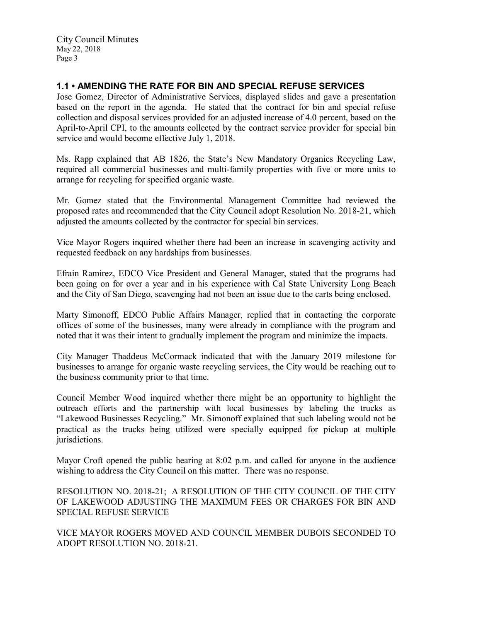# 1.1 • AMENDING THE RATE FOR BIN AND SPECIAL REFUSE SERVICES

Jose Gomez, Director of Administrative Services, displayed slides and gave a presentation based on the report in the agenda. He stated that the contract for bin and special refuse collection and disposal services provided for an adjusted increase of 4.0 percent, based on the April-to-April CPI, to the amounts collected by the contract service provider for special bin service and would become effective July 1, 2018.

Ms. Rapp explained that AB 1826, the State's New Mandatory Organics Recycling Law, required all commercial businesses and multi-family properties with five or more units to arrange for recycling for specified organic waste.

Mr. Gomez stated that the Environmental Management Committee had reviewed the proposed rates and recommended that the City Council adopt Resolution No. 2018-21, which adjusted the amounts collected by the contractor for special bin services.

Vice Mayor Rogers inquired whether there had been an increase in scavenging activity and requested feedback on any hardships from businesses.

Efrain Ramirez, EDCO Vice President and General Manager, stated that the programs had been going on for over a year and in his experience with Cal State University Long Beach and the City of San Diego, scavenging had not been an issue due to the carts being enclosed.

Marty Simonoff, EDCO Public Affairs Manager, replied that in contacting the corporate offices of some of the businesses, many were already in compliance with the program and noted that it was their intent to gradually implement the program and minimize the impacts.

City Manager Thaddeus McCormack indicated that with the January 2019 milestone for businesses to arrange for organic waste recycling services, the City would be reaching out to the business community prior to that time.

Council Member Wood inquired whether there might be an opportunity to highlight the outreach efforts and the partnership with local businesses by labeling the trucks as "Lakewood Businesses Recycling." Mr. Simonoff explained that such labeling would not be practical as the trucks being utilized were specially equipped for pickup at multiple jurisdictions.

Mayor Croft opened the public hearing at 8:02 p.m. and called for anyone in the audience wishing to address the City Council on this matter. There was no response.

RESOLUTION NO. 2018-21; A RESOLUTION OF THE CITY COUNCIL OF THE CITY OF LAKEWOOD ADJUSTING THE MAXIMUM FEES OR CHARGES FOR BIN AND SPECIAL REFUSE SERVICE

VICE MAYOR ROGERS MOVED AND COUNCIL MEMBER DUBOIS SECONDED TO ADOPT RESOLUTION NO. 2018-21.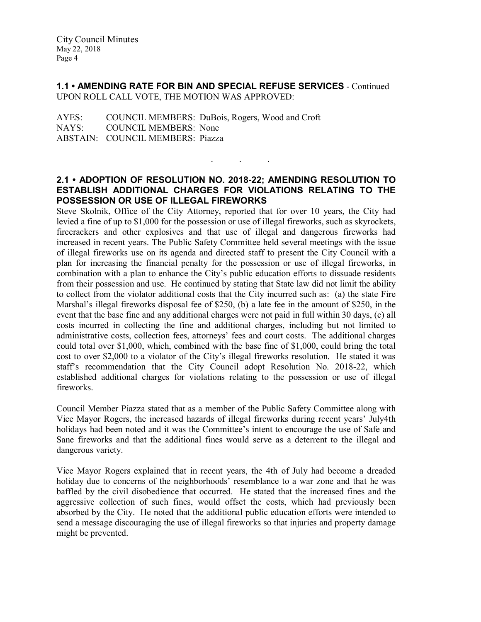1.1 • AMENDING RATE FOR BIN AND SPECIAL REFUSE SERVICES - Continued UPON ROLL CALL VOTE, THE MOTION WAS APPROVED:

AYES: COUNCIL MEMBERS: DuBois, Rogers, Wood and Croft NAYS: COUNCIL MEMBERS: None ABSTAIN: COUNCIL MEMBERS: Piazza

## 2.1 • ADOPTION OF RESOLUTION NO. 2018-22; AMENDING RESOLUTION TO ESTABLISH ADDITIONAL CHARGES FOR VIOLATIONS RELATING TO THE POSSESSION OR USE OF ILLEGAL FIREWORKS

. . .

Steve Skolnik, Office of the City Attorney, reported that for over 10 years, the City had levied a fine of up to \$1,000 for the possession or use of illegal fireworks, such as skyrockets, firecrackers and other explosives and that use of illegal and dangerous fireworks had increased in recent years. The Public Safety Committee held several meetings with the issue of illegal fireworks use on its agenda and directed staff to present the City Council with a plan for increasing the financial penalty for the possession or use of illegal fireworks, in combination with a plan to enhance the City's public education efforts to dissuade residents from their possession and use. He continued by stating that State law did not limit the ability to collect from the violator additional costs that the City incurred such as: (a) the state Fire Marshal's illegal fireworks disposal fee of \$250, (b) a late fee in the amount of \$250, in the event that the base fine and any additional charges were not paid in full within 30 days, (c) all costs incurred in collecting the fine and additional charges, including but not limited to administrative costs, collection fees, attorneys' fees and court costs. The additional charges could total over \$1,000, which, combined with the base fine of \$1,000, could bring the total cost to over \$2,000 to a violator of the City's illegal fireworks resolution. He stated it was staff's recommendation that the City Council adopt Resolution No. 2018-22, which established additional charges for violations relating to the possession or use of illegal fireworks.

Council Member Piazza stated that as a member of the Public Safety Committee along with Vice Mayor Rogers, the increased hazards of illegal fireworks during recent years' July4th holidays had been noted and it was the Committee's intent to encourage the use of Safe and Sane fireworks and that the additional fines would serve as a deterrent to the illegal and dangerous variety.

Vice Mayor Rogers explained that in recent years, the 4th of July had become a dreaded holiday due to concerns of the neighborhoods' resemblance to a war zone and that he was baffled by the civil disobedience that occurred. He stated that the increased fines and the aggressive collection of such fines, would offset the costs, which had previously been absorbed by the City. He noted that the additional public education efforts were intended to send a message discouraging the use of illegal fireworks so that injuries and property damage might be prevented.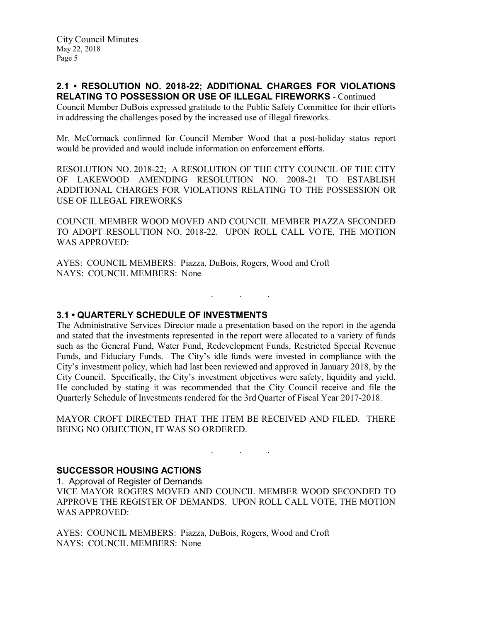### 2.1 • RESOLUTION NO. 2018-22; ADDITIONAL CHARGES FOR VIOLATIONS RELATING TO POSSESSION OR USE OF ILLEGAL FIREWORKS - Continued

Council Member DuBois expressed gratitude to the Public Safety Committee for their efforts in addressing the challenges posed by the increased use of illegal fireworks.

Mr. McCormack confirmed for Council Member Wood that a post-holiday status report would be provided and would include information on enforcement efforts.

RESOLUTION NO. 2018-22; A RESOLUTION OF THE CITY COUNCIL OF THE CITY OF LAKEWOOD AMENDING RESOLUTION NO. 2008-21 TO ESTABLISH ADDITIONAL CHARGES FOR VIOLATIONS RELATING TO THE POSSESSION OR USE OF ILLEGAL FIREWORKS

COUNCIL MEMBER WOOD MOVED AND COUNCIL MEMBER PIAZZA SECONDED TO ADOPT RESOLUTION NO. 2018-22. UPON ROLL CALL VOTE, THE MOTION WAS APPROVED:

. . .

AYES: COUNCIL MEMBERS: Piazza, DuBois, Rogers, Wood and Croft NAYS: COUNCIL MEMBERS: None

3.1 • QUARTERLY SCHEDULE OF INVESTMENTS

The Administrative Services Director made a presentation based on the report in the agenda and stated that the investments represented in the report were allocated to a variety of funds such as the General Fund, Water Fund, Redevelopment Funds, Restricted Special Revenue Funds, and Fiduciary Funds. The City's idle funds were invested in compliance with the City's investment policy, which had last been reviewed and approved in January 2018, by the City Council. Specifically, the City's investment objectives were safety, liquidity and yield. He concluded by stating it was recommended that the City Council receive and file the Quarterly Schedule of Investments rendered for the 3rd Quarter of Fiscal Year 2017-2018.

MAYOR CROFT DIRECTED THAT THE ITEM BE RECEIVED AND FILED. THERE BEING NO OBJECTION, IT WAS SO ORDERED.

#### . . .

# SUCCESSOR HOUSING ACTIONS

1. Approval of Register of Demands

VICE MAYOR ROGERS MOVED AND COUNCIL MEMBER WOOD SECONDED TO APPROVE THE REGISTER OF DEMANDS. UPON ROLL CALL VOTE, THE MOTION WAS APPROVED:

AYES: COUNCIL MEMBERS: Piazza, DuBois, Rogers, Wood and Croft NAYS: COUNCIL MEMBERS: None